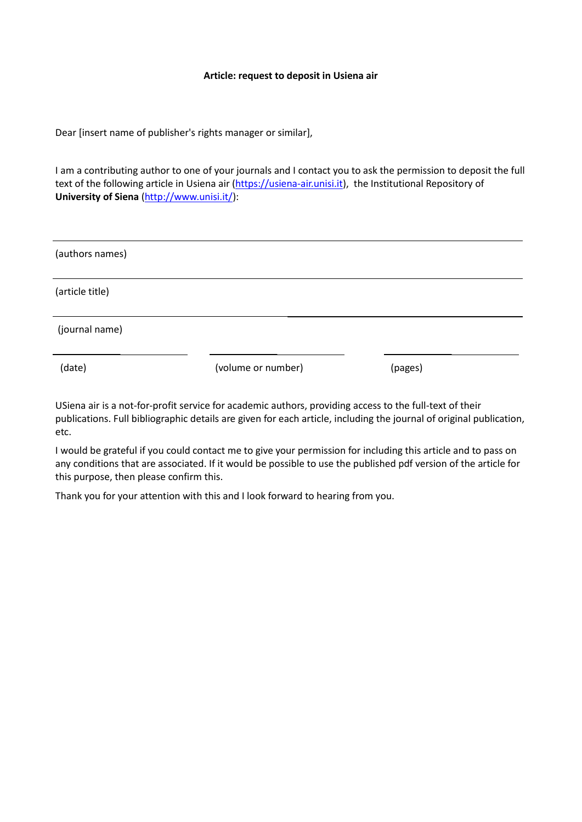## **Article: request to deposit in Usiena air**

Dear [insert name of publisher's rights manager or similar],

I am a contributing author to one of your journals and I contact you to ask the permission to deposit the full text of the following article in Usiena air [\(https://usiena](https://usiena-air.unisi.it/)-air.unisi.it), the Institutional Repository of **University of Siena** [\(http://www.unisi.it/\)](http://www.unisi.it/):

| (authors names) |                    |         |
|-----------------|--------------------|---------|
| (article title) |                    |         |
| (journal name)  |                    |         |
| (date)          | (volume or number) | (pages) |

USiena air is a not-for-profit service for academic authors, providing access to the full-text of their publications. Full bibliographic details are given for each article, including the journal of original publication, etc.

I would be grateful if you could contact me to give your permission for including this article and to pass on any conditions that are associated. If it would be possible to use the published pdf version of the article for this purpose, then please confirm this.

Thank you for your attention with this and I look forward to hearing from you.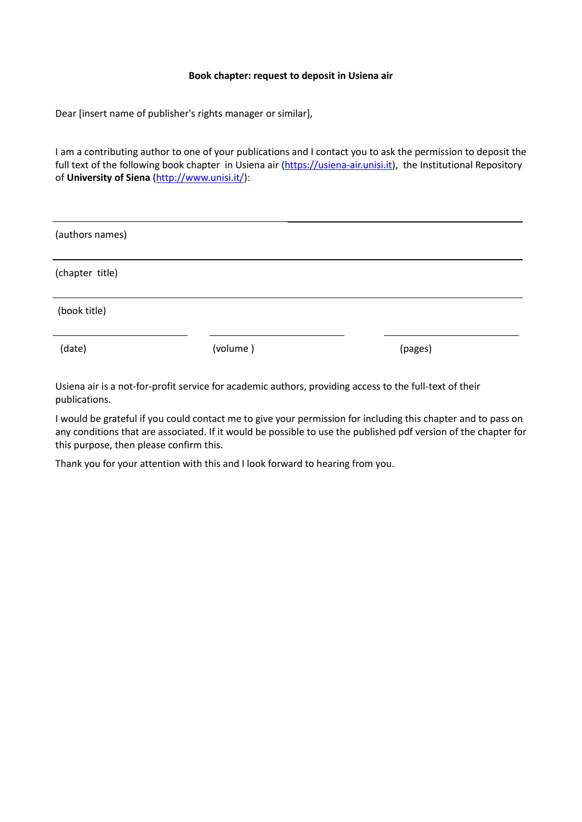## **Book chapter: request to deposit in Usiena air**

Dear [insert name of publisher's rights manager or similar],

I am a contributing author to one of your publications and I contact you to ask the permission to deposit the full text of the following book chapter in Usiena air [\(https://usiena](https://usiena-air.unisi.it/)-air.unisi.it), the Institutional Repository of **University of Siena** [\(http://www.unisi.it/\)](http://www.unisi.it/):

| (authors names) |          |         |
|-----------------|----------|---------|
| (chapter title) |          |         |
| (book title)    |          |         |
| (date)          | (volume) | (pages) |

Usiena air is a not-for-profit service for academic authors, providing access to the full-text of their publications.

I would be grateful if you could contact me to give your permission for including this chapter and to pass on any conditions that are associated. If it would be possible to use the published pdf version of the chapter for this purpose, then please confirm this.

Thank you for your attention with this and I look forward to hearing from you.